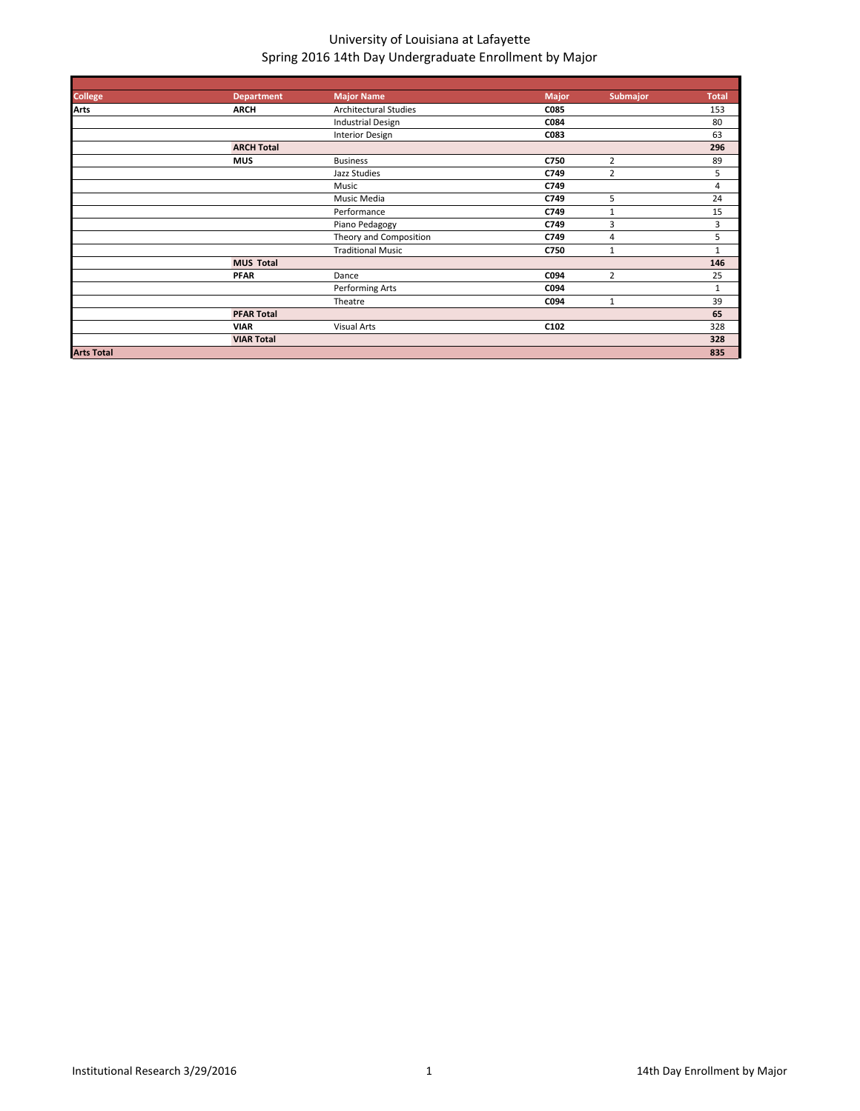| <b>College</b>    | <b>Department</b> | <b>Major Name</b>            | Major       | Submajor       | <b>Total</b>   |
|-------------------|-------------------|------------------------------|-------------|----------------|----------------|
| <b>Arts</b>       | <b>ARCH</b>       | <b>Architectural Studies</b> | <b>C085</b> |                | 153            |
|                   |                   | <b>Industrial Design</b>     | C084        |                | 80             |
|                   |                   | <b>Interior Design</b>       | C083        |                | 63             |
|                   | <b>ARCH Total</b> |                              |             |                | 296            |
|                   | <b>MUS</b>        | <b>Business</b>              | C750        | 2              | 89             |
|                   |                   | Jazz Studies                 | C749        | $\overline{2}$ | 5              |
|                   |                   | Music                        | C749        |                | $\overline{4}$ |
|                   |                   | Music Media                  | C749        | 5              | 24             |
|                   |                   | Performance                  | C749        | $\mathbf{1}$   | 15             |
|                   |                   | Piano Pedagogy               | C749        | 3              | 3              |
|                   |                   | Theory and Composition       | C749        | $\overline{4}$ | 5              |
|                   |                   | <b>Traditional Music</b>     | C750        | $\mathbf{1}$   | $\mathbf{1}$   |
|                   | <b>MUS Total</b>  |                              |             |                | 146            |
|                   | <b>PFAR</b>       | Dance                        | C094        | $\overline{2}$ | 25             |
|                   |                   | Performing Arts              | C094        |                | $\mathbf{1}$   |
|                   |                   | Theatre                      | C094        | 1              | 39             |
|                   | <b>PFAR Total</b> |                              |             |                | 65             |
|                   | <b>VIAR</b>       | <b>Visual Arts</b>           | C102        |                | 328            |
|                   | <b>VIAR Total</b> |                              |             |                | 328            |
| <b>Arts Total</b> |                   |                              |             |                | 835            |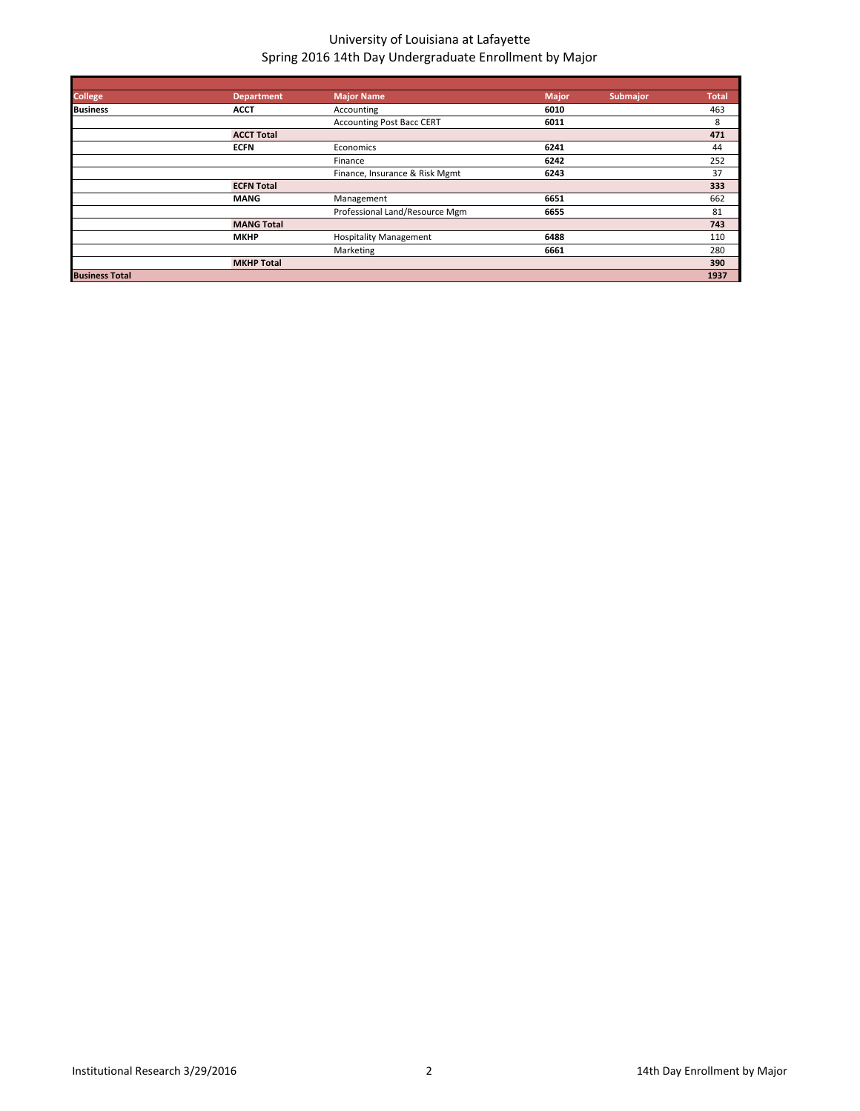| <b>College</b>        | <b>Department</b> | <b>Major Name</b>                | <b>Major</b> | <b>Submajor</b> | <b>Total</b> |
|-----------------------|-------------------|----------------------------------|--------------|-----------------|--------------|
| <b>Business</b>       | <b>ACCT</b>       | Accounting                       | 6010         |                 | 463          |
|                       |                   | <b>Accounting Post Bacc CERT</b> | 6011         |                 | 8            |
|                       | <b>ACCT Total</b> |                                  |              |                 | 471          |
|                       | <b>ECFN</b>       | Economics                        | 6241         |                 | 44           |
|                       |                   | Finance                          | 6242         |                 | 252          |
|                       |                   | Finance, Insurance & Risk Mgmt   | 6243         |                 | 37           |
|                       | <b>ECFN Total</b> |                                  |              |                 | 333          |
|                       | <b>MANG</b>       | Management                       | 6651         |                 | 662          |
|                       |                   | Professional Land/Resource Mgm   | 6655         |                 | 81           |
|                       | <b>MANG Total</b> |                                  |              |                 | 743          |
|                       | <b>MKHP</b>       | <b>Hospitality Management</b>    | 6488         |                 | 110          |
|                       |                   | Marketing                        | 6661         |                 | 280          |
|                       | <b>MKHP Total</b> |                                  |              |                 | 390          |
| <b>Business Total</b> |                   |                                  |              |                 | 1937         |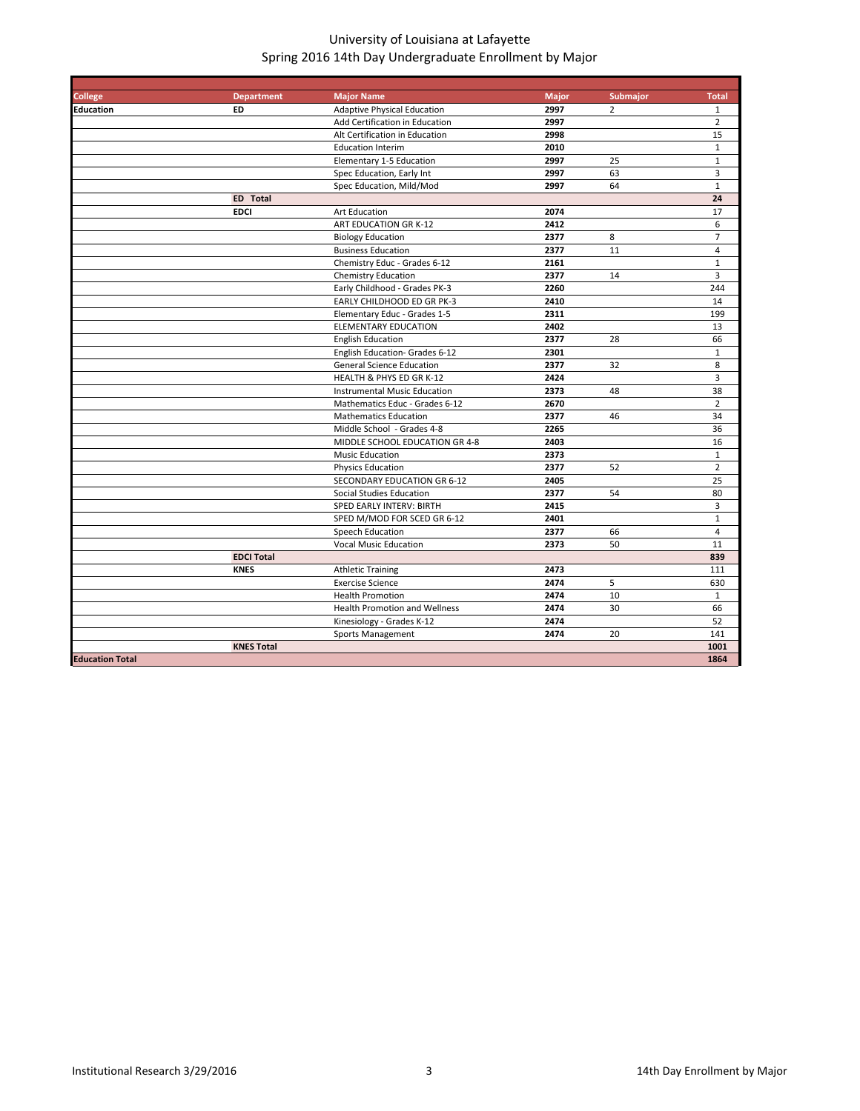| <b>College</b>         | <b>Department</b> | <b>Major Name</b>                    | <b>Major</b> | <b>Submajor</b> | <b>Total</b>   |
|------------------------|-------------------|--------------------------------------|--------------|-----------------|----------------|
| <b>Education</b>       | ED                | <b>Adaptive Physical Education</b>   | 2997         | $\overline{2}$  | $\mathbf{1}$   |
|                        |                   | Add Certification in Education       | 2997         |                 | $\overline{2}$ |
|                        |                   | Alt Certification in Education       | 2998         |                 | 15             |
|                        |                   | <b>Education Interim</b>             | 2010         |                 | $\mathbf 1$    |
|                        |                   | Elementary 1-5 Education             | 2997         | 25              | $\mathbf{1}$   |
|                        |                   | Spec Education, Early Int            | 2997         | 63              | 3              |
|                        |                   | Spec Education, Mild/Mod             | 2997         | 64              | $\mathbf{1}$   |
|                        | <b>ED</b> Total   |                                      |              |                 | 24             |
|                        | <b>EDCI</b>       | Art Education                        | 2074         |                 | 17             |
|                        |                   | ART EDUCATION GR K-12                | 2412         |                 | 6              |
|                        |                   | <b>Biology Education</b>             | 2377         | 8               | $\overline{7}$ |
|                        |                   | <b>Business Education</b>            | 2377         | 11              | $\overline{4}$ |
|                        |                   | Chemistry Educ - Grades 6-12         | 2161         |                 | $\mathbf{1}$   |
|                        |                   | Chemistry Education                  | 2377         | 14              | 3              |
|                        |                   | Early Childhood - Grades PK-3        | 2260         |                 | 244            |
|                        |                   | EARLY CHILDHOOD ED GR PK-3           | 2410         |                 | 14             |
|                        |                   | Elementary Educ - Grades 1-5         | 2311         |                 | 199            |
|                        |                   | <b>ELEMENTARY EDUCATION</b>          | 2402         |                 | 13             |
|                        |                   | <b>English Education</b>             | 2377         | 28              | 66             |
|                        |                   | English Education- Grades 6-12       | 2301         |                 | $\mathbf 1$    |
|                        |                   | <b>General Science Education</b>     | 2377         | 32              | 8              |
|                        |                   | HEALTH & PHYS ED GR K-12             | 2424         |                 | 3              |
|                        |                   | <b>Instrumental Music Education</b>  | 2373         | 48              | 38             |
|                        |                   | Mathematics Educ - Grades 6-12       | 2670         |                 | $\overline{2}$ |
|                        |                   | <b>Mathematics Education</b>         | 2377         | 46              | 34             |
|                        |                   | Middle School - Grades 4-8           | 2265         |                 | 36             |
|                        |                   | MIDDLE SCHOOL EDUCATION GR 4-8       | 2403         |                 | 16             |
|                        |                   | <b>Music Education</b>               | 2373         |                 | $\mathbf{1}$   |
|                        |                   | <b>Physics Education</b>             | 2377         | 52              | $\overline{2}$ |
|                        |                   | SECONDARY EDUCATION GR 6-12          | 2405         |                 | 25             |
|                        |                   | Social Studies Education             | 2377         | 54              | 80             |
|                        |                   | SPED EARLY INTERV: BIRTH             | 2415         |                 | 3              |
|                        |                   | SPED M/MOD FOR SCED GR 6-12          | 2401         |                 | $\mathbf{1}$   |
|                        |                   | Speech Education                     | 2377         | 66              | 4              |
|                        |                   | <b>Vocal Music Education</b>         | 2373         | 50              | 11             |
|                        | <b>EDCI Total</b> |                                      |              |                 | 839            |
|                        | <b>KNES</b>       | <b>Athletic Training</b>             | 2473         |                 | 111            |
|                        |                   | <b>Exercise Science</b>              | 2474         | 5               | 630            |
|                        |                   | <b>Health Promotion</b>              | 2474         | 10              | $\mathbf{1}$   |
|                        |                   | <b>Health Promotion and Wellness</b> | 2474         | 30              | 66             |
|                        |                   | Kinesiology - Grades K-12            | 2474         |                 | 52             |
|                        |                   | <b>Sports Management</b>             | 2474         | 20              | 141            |
|                        | <b>KNES Total</b> |                                      |              |                 | 1001           |
| <b>Education Total</b> |                   |                                      |              |                 | 1864           |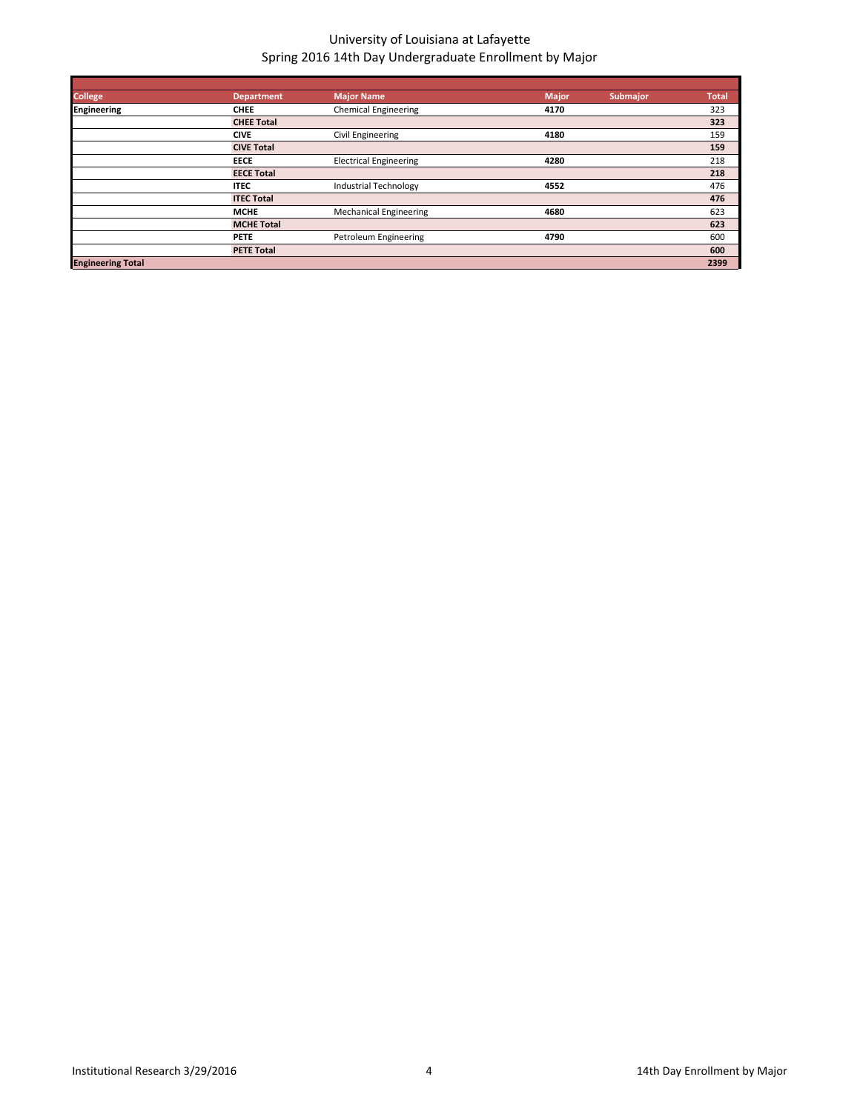| <b>College</b>           | <b>Department</b> | Major Name                    | <b>Major</b> | <b>Submajor</b> | <b>Total</b> |
|--------------------------|-------------------|-------------------------------|--------------|-----------------|--------------|
| <b>Engineering</b>       | <b>CHEE</b>       | <b>Chemical Engineering</b>   | 4170         |                 | 323          |
|                          | <b>CHEE Total</b> |                               |              |                 | 323          |
|                          | <b>CIVE</b>       | Civil Engineering             | 4180         |                 | 159          |
|                          | <b>CIVE Total</b> |                               |              |                 | 159          |
|                          | <b>EECE</b>       | <b>Electrical Engineering</b> | 4280         |                 | 218          |
|                          | <b>EECE Total</b> |                               |              |                 | 218          |
|                          | <b>ITEC</b>       | Industrial Technology         | 4552         |                 | 476          |
|                          | <b>ITEC Total</b> |                               |              |                 | 476          |
|                          | <b>MCHE</b>       | <b>Mechanical Engineering</b> | 4680         |                 | 623          |
|                          | <b>MCHE Total</b> |                               |              |                 | 623          |
|                          | <b>PETE</b>       | Petroleum Engineering         | 4790         |                 | 600          |
|                          | <b>PETE Total</b> |                               |              |                 | 600          |
| <b>Engineering Total</b> |                   |                               |              |                 | 2399         |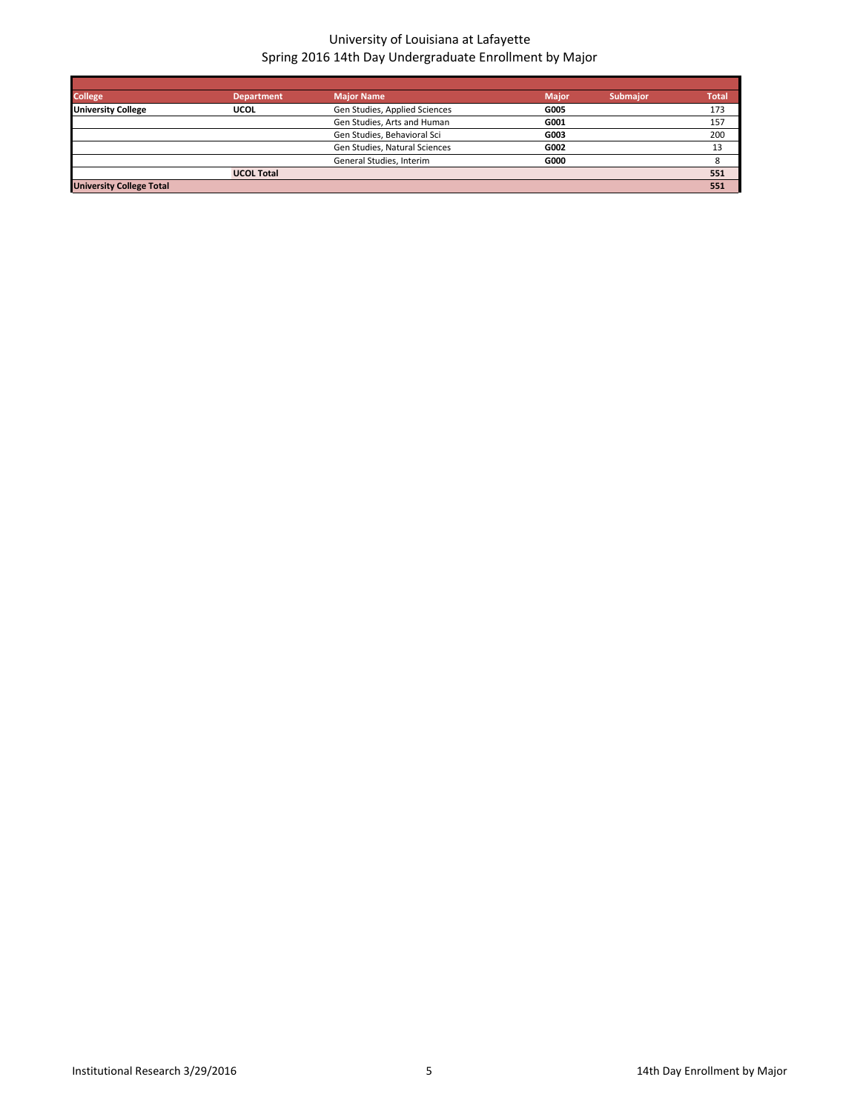| <b>College</b>                  | <b>Department</b> | <b>Major Name</b>             | <b>Major</b> | <b>Submajor</b> | <b>Total</b> |
|---------------------------------|-------------------|-------------------------------|--------------|-----------------|--------------|
| <b>University College</b>       | <b>UCOL</b>       | Gen Studies, Applied Sciences | G005         |                 | 173          |
|                                 |                   | Gen Studies, Arts and Human   | G001         |                 | 157          |
|                                 |                   | Gen Studies, Behavioral Sci   | G003         |                 | 200          |
|                                 |                   | Gen Studies, Natural Sciences | G002         |                 | 13           |
|                                 |                   | General Studies, Interim      | G000         |                 |              |
|                                 | <b>UCOL Total</b> |                               |              |                 | 551          |
| <b>University College Total</b> |                   |                               |              |                 | 551          |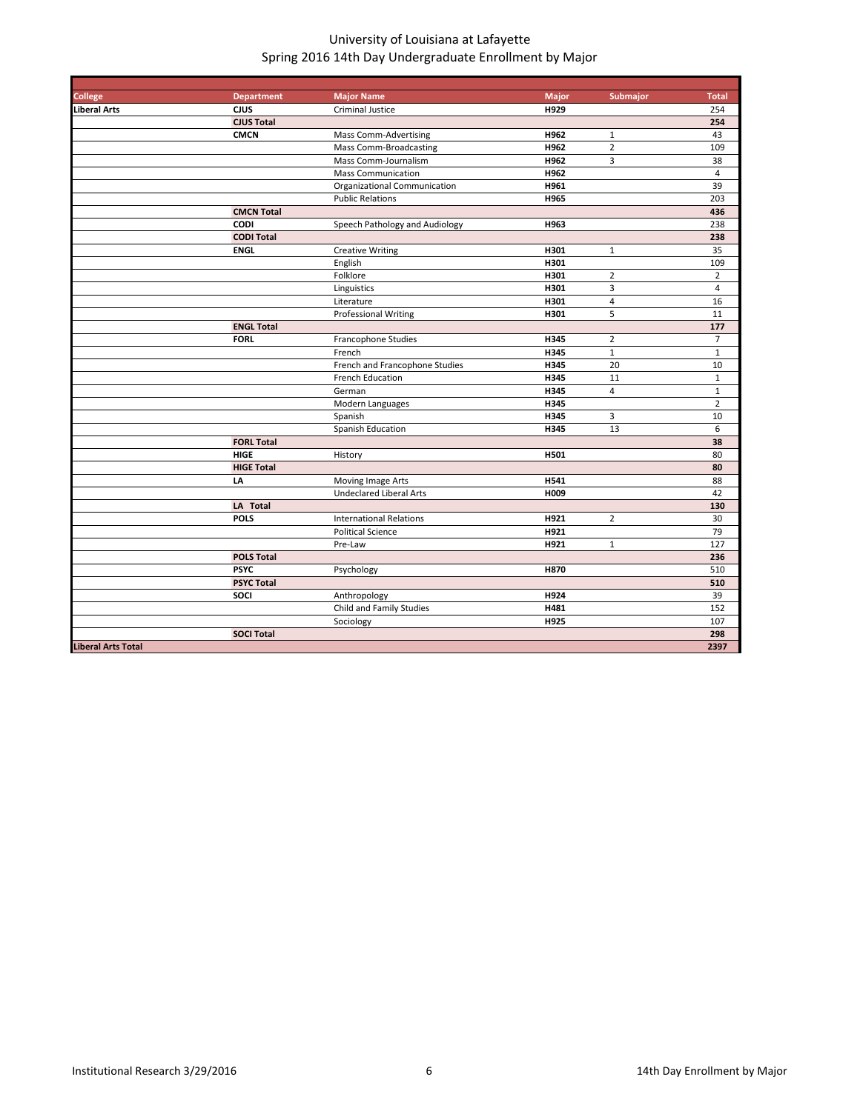| <b>College</b>            | <b>Department</b> | <b>Major Name</b>              | <b>Major</b> | Submajor       | <b>Total</b>   |
|---------------------------|-------------------|--------------------------------|--------------|----------------|----------------|
| Liberal Arts              | <b>CJUS</b>       | Criminal Justice               | H929         |                | 254            |
|                           | <b>CJUS Total</b> |                                |              |                | 254            |
|                           | <b>CMCN</b>       | <b>Mass Comm-Advertising</b>   | H962         | $\mathbf{1}$   | 43             |
|                           |                   | <b>Mass Comm-Broadcasting</b>  | H962         | $\overline{2}$ | 109            |
|                           |                   | Mass Comm-Journalism           | H962         | 3              | 38             |
|                           |                   | <b>Mass Communication</b>      | H962         |                | $\overline{4}$ |
|                           |                   | Organizational Communication   | H961         |                | 39             |
|                           |                   | <b>Public Relations</b>        | H965         |                | 203            |
|                           | <b>CMCN Total</b> |                                |              |                | 436            |
|                           | <b>CODI</b>       | Speech Pathology and Audiology | H963         |                | 238            |
|                           | <b>CODI Total</b> |                                |              |                | 238            |
|                           | <b>ENGL</b>       | <b>Creative Writing</b>        | H301         | $\mathbf{1}$   | 35             |
|                           |                   | English                        | H301         |                | 109            |
|                           |                   | Folklore                       | H301         | $\overline{2}$ | $\overline{2}$ |
|                           |                   | Linguistics                    | H301         | 3              | $\overline{4}$ |
|                           |                   | Literature                     | H301         | $\overline{4}$ | 16             |
|                           |                   | <b>Professional Writing</b>    | H301         | 5              | 11             |
|                           | <b>ENGL Total</b> |                                |              |                | 177            |
|                           | <b>FORL</b>       | <b>Francophone Studies</b>     | H345         | $\overline{2}$ | $\overline{7}$ |
|                           |                   | French                         | H345         | $\mathbf 1$    | $\mathbf 1$    |
|                           |                   | French and Francophone Studies | H345         | 20             | 10             |
|                           |                   | French Education               | H345         | 11             | $\mathbf{1}$   |
|                           |                   | German                         | H345         | 4              | $\mathbf 1$    |
|                           |                   | Modern Languages               | H345         |                | $\overline{2}$ |
|                           |                   | Spanish                        | H345         | 3              | 10             |
|                           |                   | Spanish Education              | H345         | 13             | 6              |
|                           | <b>FORL Total</b> |                                |              |                | 38             |
|                           | <b>HIGE</b>       | History                        | H501         |                | 80             |
|                           | <b>HIGE Total</b> |                                |              |                | 80             |
|                           | LA                | Moving Image Arts              | H541         |                | 88             |
|                           |                   | <b>Undeclared Liberal Arts</b> | H009         |                | 42             |
|                           | LA Total          |                                |              |                | 130            |
|                           | <b>POLS</b>       | <b>International Relations</b> | H921         | $\overline{2}$ | 30             |
|                           |                   | <b>Political Science</b>       | H921         |                | 79             |
|                           |                   | Pre-Law                        | H921         | $\mathbf 1$    | 127            |
|                           | <b>POLS Total</b> |                                |              |                | 236            |
|                           | <b>PSYC</b>       | Psychology                     | <b>H870</b>  |                | 510            |
|                           | <b>PSYC Total</b> |                                |              |                | 510            |
|                           | SOCI              | Anthropology                   | H924         |                | 39             |
|                           |                   | Child and Family Studies       | H481         |                | 152            |
|                           |                   | Sociology                      | <b>H925</b>  |                | 107            |
|                           | <b>SOCI Total</b> |                                |              |                | 298            |
| <b>Liberal Arts Total</b> |                   |                                |              |                | 2397           |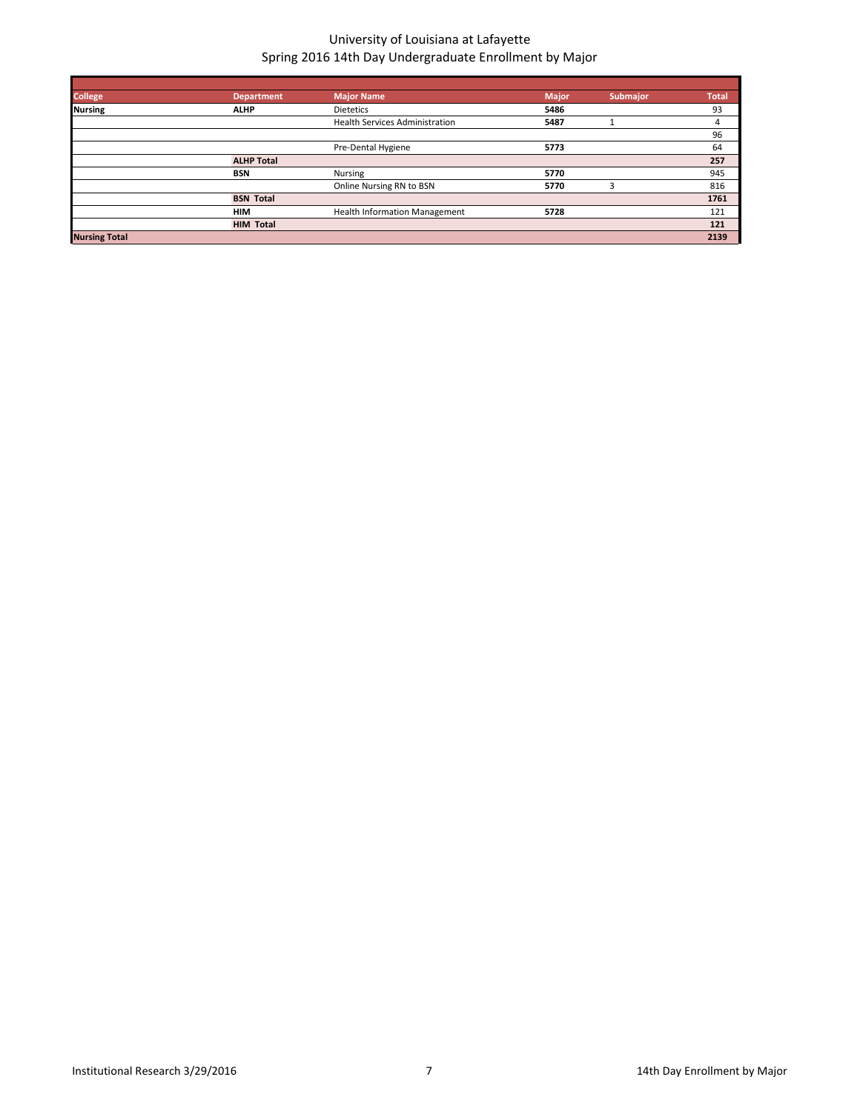| <b>College</b>       | <b>Department</b> | <b>Major Name</b>                     | <b>Major</b> | Submajor | <b>Total</b> |
|----------------------|-------------------|---------------------------------------|--------------|----------|--------------|
| <b>Nursing</b>       | <b>ALHP</b>       | <b>Dietetics</b>                      | 5486         |          | 93           |
|                      |                   | <b>Health Services Administration</b> | 5487         |          | 4            |
|                      |                   |                                       |              |          | 96           |
|                      |                   | Pre-Dental Hygiene                    | 5773         |          | 64           |
|                      | <b>ALHP Total</b> |                                       |              |          | 257          |
|                      | <b>BSN</b>        | Nursing                               | 5770         |          | 945          |
|                      |                   | Online Nursing RN to BSN              | 5770         | 3        | 816          |
|                      | <b>BSN Total</b>  |                                       |              |          | 1761         |
|                      | <b>HIM</b>        | <b>Health Information Management</b>  | 5728         |          | 121          |
|                      | <b>HIM Total</b>  |                                       |              |          | 121          |
| <b>Nursing Total</b> |                   |                                       |              |          | 2139         |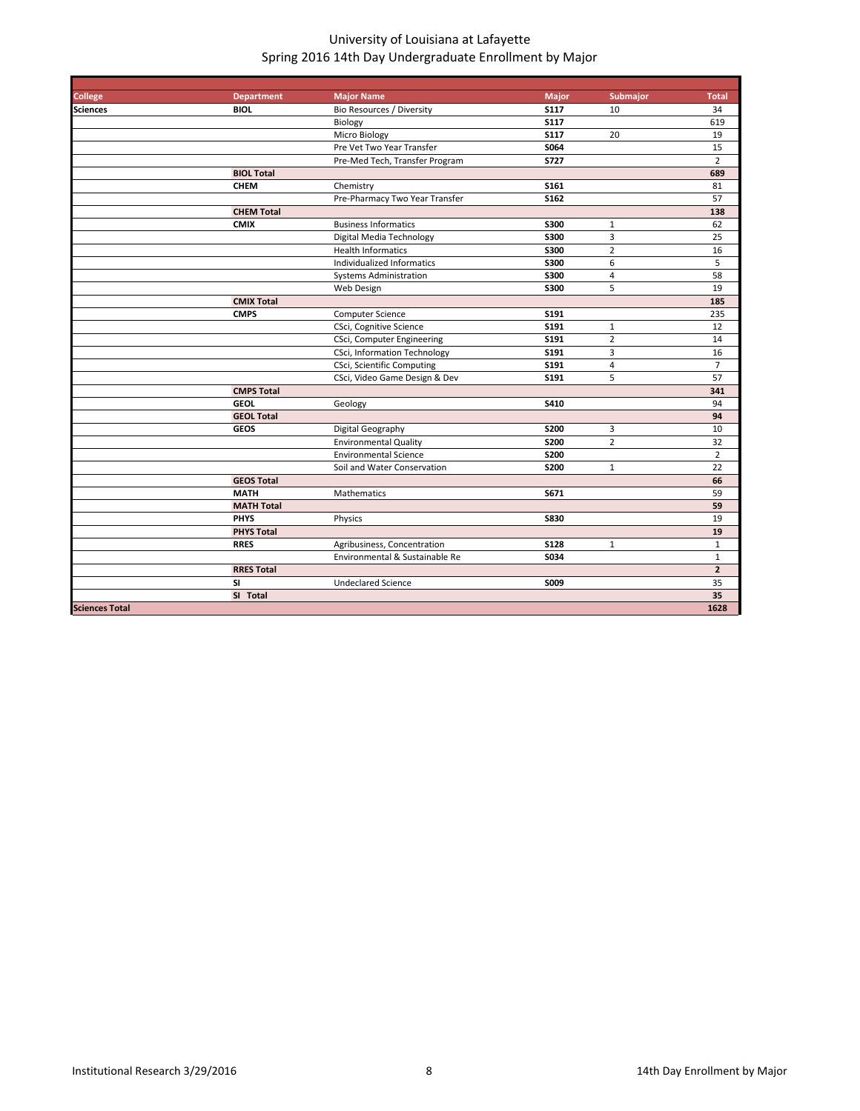| <b>College</b>        | <b>Department</b> | <b>Major Name</b>                 | <b>Major</b> | Submajor       | <b>Total</b>   |
|-----------------------|-------------------|-----------------------------------|--------------|----------------|----------------|
| <b>Sciences</b>       | <b>BIOL</b>       | Bio Resources / Diversity         | <b>S117</b>  | 10             | 34             |
|                       |                   | Biology                           | S117         |                | 619            |
|                       |                   | Micro Biology                     | <b>S117</b>  | 20             | 19             |
|                       |                   | Pre Vet Two Year Transfer         | S064         |                | 15             |
|                       |                   | Pre-Med Tech, Transfer Program    | <b>S727</b>  |                | $\overline{2}$ |
|                       | <b>BIOL Total</b> |                                   |              |                | 689            |
|                       | <b>CHEM</b>       | Chemistry                         | S161         |                | 81             |
|                       |                   | Pre-Pharmacy Two Year Transfer    | S162         |                | 57             |
|                       | <b>CHEM Total</b> |                                   |              |                | 138            |
|                       | <b>CMIX</b>       | <b>Business Informatics</b>       | S300         | $\mathbf{1}$   | 62             |
|                       |                   | Digital Media Technology          | S300         | 3              | 25             |
|                       |                   | <b>Health Informatics</b>         | S300         | $\overline{2}$ | 16             |
|                       |                   | Individualized Informatics        | <b>S300</b>  | 6              | 5              |
|                       |                   | <b>Systems Administration</b>     | <b>S300</b>  | 4              | 58             |
|                       |                   | Web Design                        | S300         | 5              | 19             |
|                       | <b>CMIX Total</b> |                                   |              |                | 185            |
|                       | <b>CMPS</b>       | <b>Computer Science</b>           | S191         |                | 235            |
|                       |                   | CSci, Cognitive Science           | S191         | $\mathbf{1}$   | 12             |
|                       |                   | CSci, Computer Engineering        | S191         | $\overline{2}$ | 14             |
|                       |                   | CSci, Information Technology      | S191         | 3              | 16             |
|                       |                   | <b>CSci, Scientific Computing</b> | S191         | 4              | $\overline{7}$ |
|                       |                   | CSci, Video Game Design & Dev     | S191         | 5              | 57             |
|                       | <b>CMPS Total</b> |                                   |              |                | 341            |
|                       | <b>GEOL</b>       | Geology                           | S410         |                | 94             |
|                       | <b>GEOL Total</b> |                                   |              |                | 94             |
|                       | <b>GEOS</b>       | Digital Geography                 | S200         | 3              | 10             |
|                       |                   | <b>Environmental Quality</b>      | <b>S200</b>  | $\overline{2}$ | 32             |
|                       |                   | <b>Environmental Science</b>      | <b>S200</b>  |                | $\overline{2}$ |
|                       |                   | Soil and Water Conservation       | <b>S200</b>  | $\mathbf{1}$   | 22             |
|                       | <b>GEOS Total</b> |                                   |              |                | 66             |
|                       | <b>MATH</b>       | Mathematics                       | S671         |                | 59             |
|                       | <b>MATH Total</b> |                                   |              |                | 59             |
|                       | <b>PHYS</b>       | Physics                           | <b>S830</b>  |                | 19             |
|                       | <b>PHYS Total</b> |                                   |              |                | 19             |
|                       | <b>RRES</b>       | Agribusiness, Concentration       | <b>S128</b>  | $1\,$          | $\mathbf{1}$   |
|                       |                   | Environmental & Sustainable Re    | S034         |                | $\mathbf{1}$   |
|                       | <b>RRES Total</b> |                                   |              |                | $\overline{2}$ |
|                       | <b>SI</b>         | <b>Undeclared Science</b>         | S009         |                | 35             |
|                       | SI Total          |                                   |              |                | 35             |
| <b>Sciences Total</b> |                   |                                   |              |                | 1628           |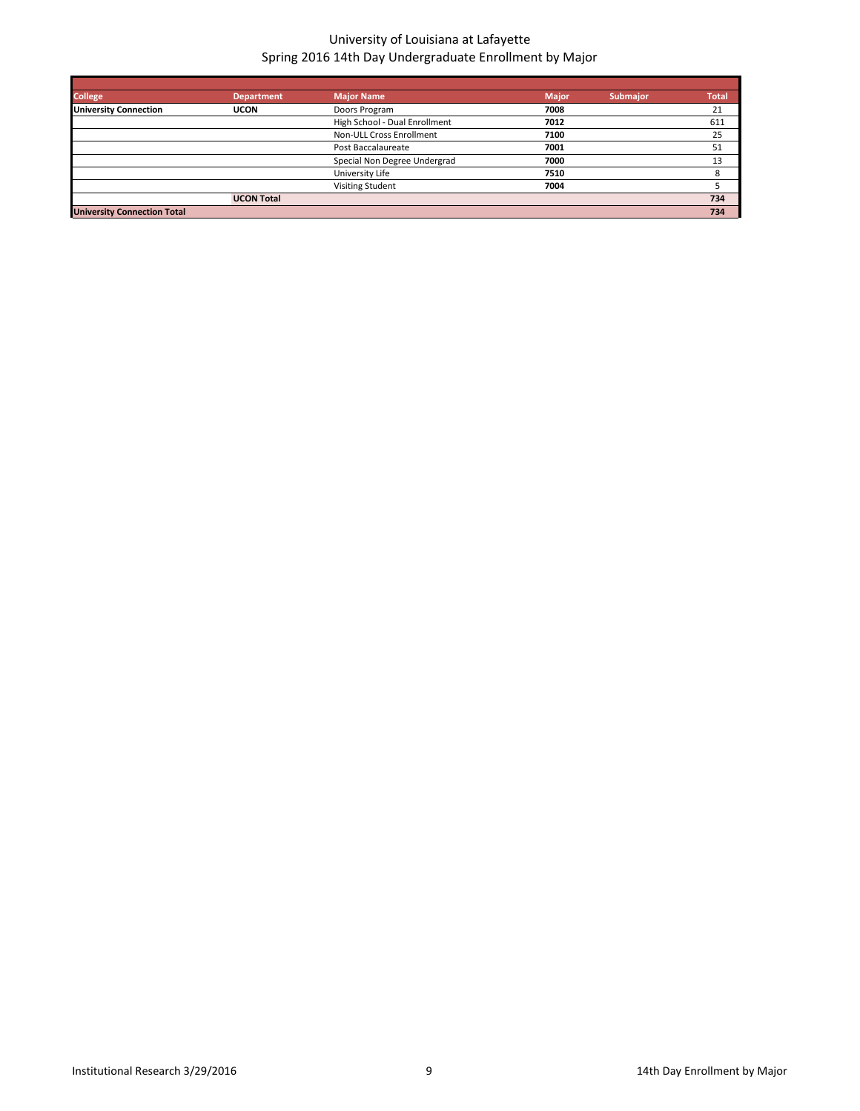| <b>College</b>                     | <b>Department</b> | <b>Major Name</b>             | <b>Major</b> | <b>Submajor</b> | <b>Total</b> |
|------------------------------------|-------------------|-------------------------------|--------------|-----------------|--------------|
| <b>University Connection</b>       | <b>UCON</b>       | Doors Program                 | 7008         |                 | 21           |
|                                    |                   | High School - Dual Enrollment | 7012         |                 | 611          |
|                                    |                   | Non-ULL Cross Enrollment      | 7100         |                 | 25           |
|                                    |                   | Post Baccalaureate            | 7001         |                 | 51           |
|                                    |                   | Special Non Degree Undergrad  | 7000         |                 | 13           |
|                                    |                   | University Life               | 7510         |                 | 8            |
|                                    |                   | <b>Visiting Student</b>       | 7004         |                 |              |
|                                    | <b>UCON Total</b> |                               |              |                 | 734          |
| <b>University Connection Total</b> |                   |                               |              |                 | 734          |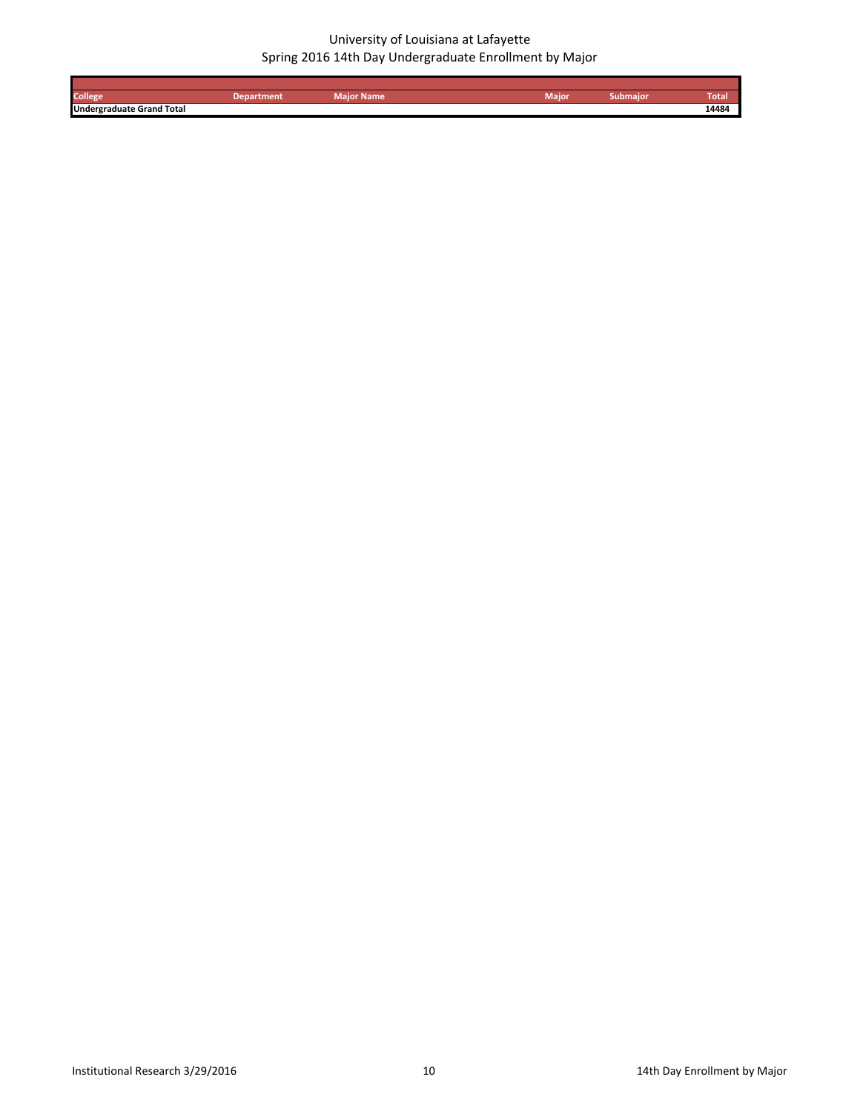| College                          | tment | Maior Name | Maior | .<br>submajoi | Total |
|----------------------------------|-------|------------|-------|---------------|-------|
| <b>Undergraduate Grand Total</b> |       |            |       |               | 14484 |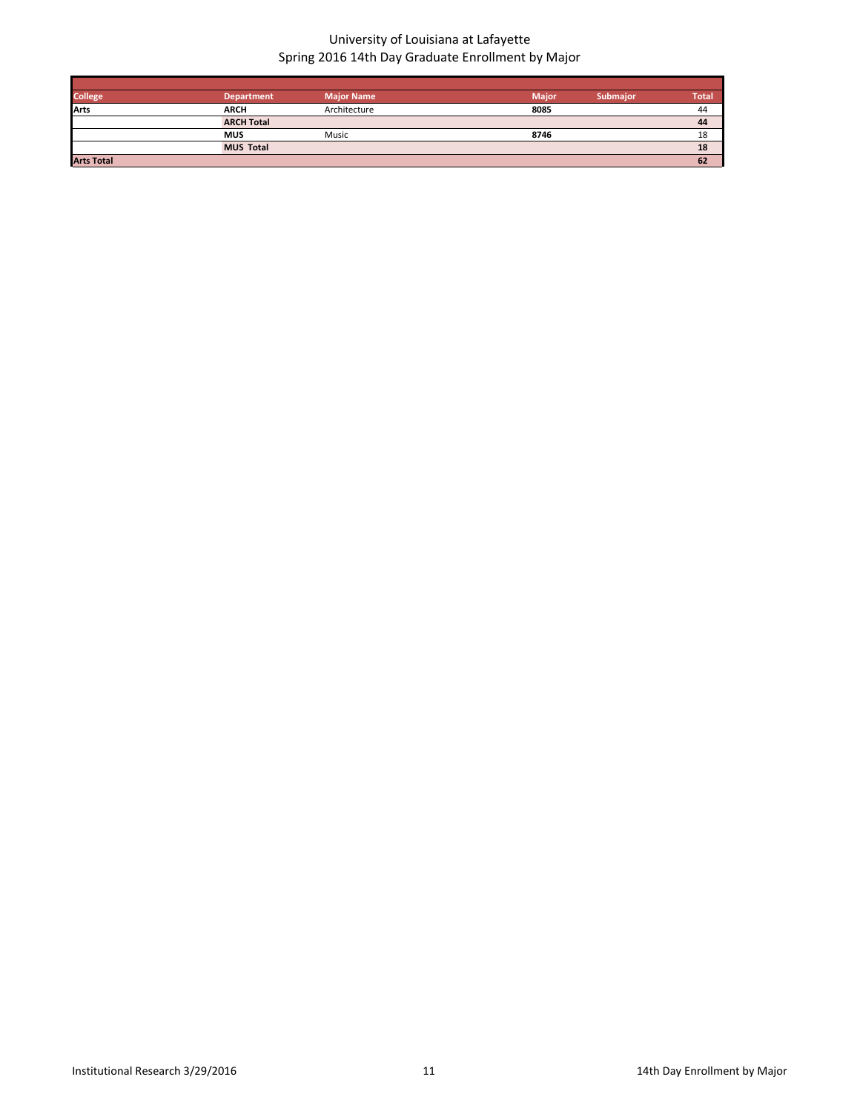| <b>College</b>    | <b>Department</b> | <b>Major Name</b> | <b>Major</b> | <b>Submaior</b> | <b>Total</b> |
|-------------------|-------------------|-------------------|--------------|-----------------|--------------|
| Arts              | <b>ARCH</b>       | Architecture      | 8085         |                 | 44           |
|                   | <b>ARCH Total</b> |                   |              |                 | 44           |
|                   | <b>MUS</b>        | Music             | 8746         |                 | 18           |
|                   | <b>MUS Total</b>  |                   |              |                 | 18           |
| <b>Arts Total</b> |                   |                   |              |                 | 62           |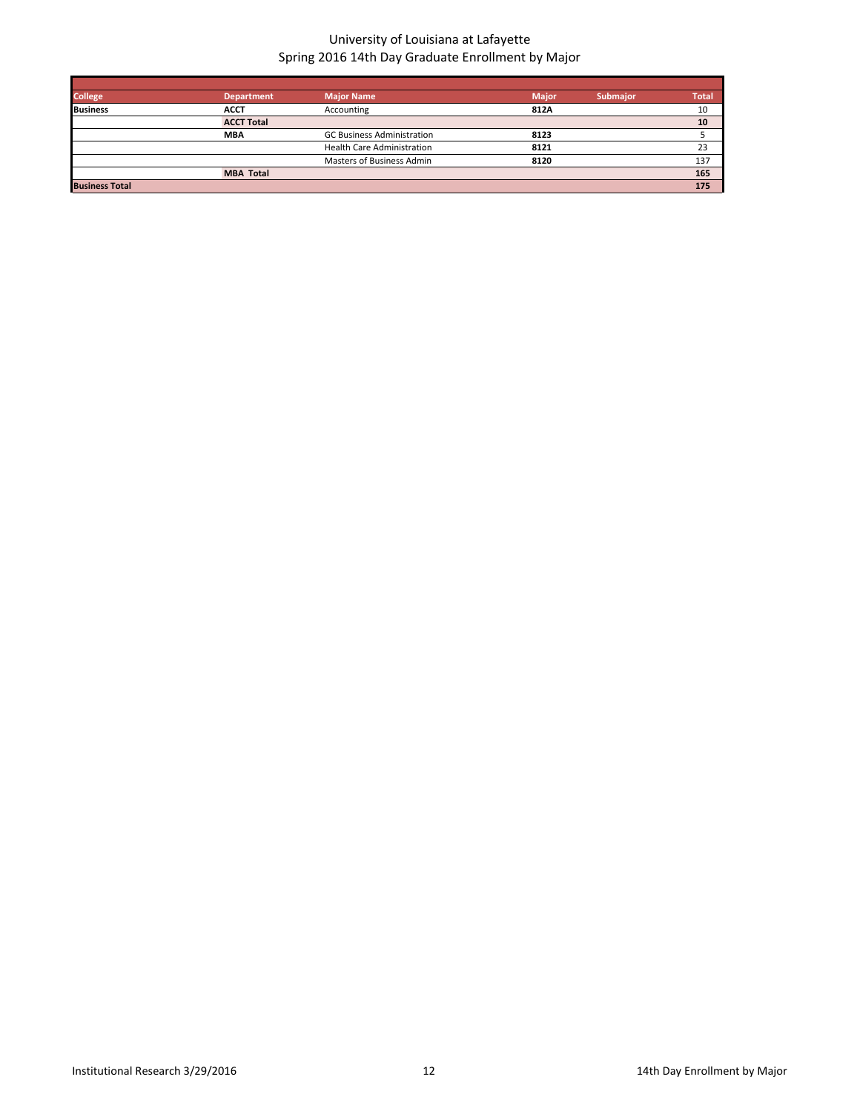| <b>College</b>        | <b>Department</b> | <b>Major Name</b>                 | <b>Major</b> | <b>Submajor</b> | <b>Total</b> |
|-----------------------|-------------------|-----------------------------------|--------------|-----------------|--------------|
| <b>Business</b>       | <b>ACCT</b>       | Accounting                        | 812A         |                 | 10           |
|                       | <b>ACCT Total</b> |                                   |              |                 | 10           |
|                       | <b>MBA</b>        | <b>GC Business Administration</b> | 8123         |                 |              |
|                       |                   | <b>Health Care Administration</b> | 8121         |                 | 23           |
|                       |                   | Masters of Business Admin         | 8120         |                 | 137          |
|                       | <b>MBA Total</b>  |                                   |              |                 | 165          |
| <b>Business Total</b> |                   |                                   |              |                 | 175          |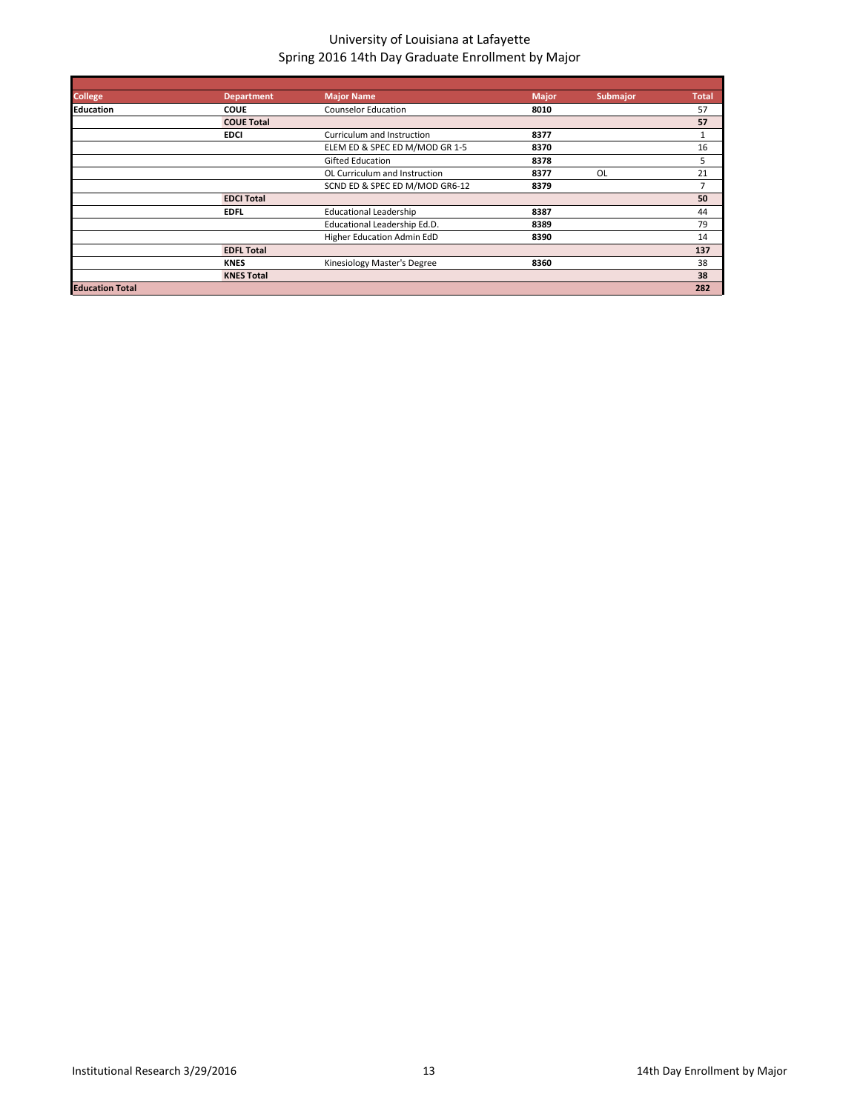| <b>College</b>         | <b>Department</b> | <b>Major Name</b>              | <b>Major</b> | <b>Submajor</b> | <b>Total</b>   |
|------------------------|-------------------|--------------------------------|--------------|-----------------|----------------|
| <b>Education</b>       | <b>COUE</b>       | <b>Counselor Education</b>     | 8010         |                 | 57             |
|                        | <b>COUE Total</b> |                                |              |                 | 57             |
|                        | <b>EDCI</b>       | Curriculum and Instruction     | 8377         |                 | 1              |
|                        |                   | ELEM ED & SPEC ED M/MOD GR 1-5 | 8370         |                 | 16             |
|                        |                   | <b>Gifted Education</b>        | 8378         |                 | 5              |
|                        |                   | OL Curriculum and Instruction  | 8377         | OL              | 21             |
|                        |                   | SCND ED & SPEC ED M/MOD GR6-12 | 8379         |                 | $\overline{7}$ |
|                        | <b>EDCI Total</b> |                                |              |                 | 50             |
|                        | <b>EDFL</b>       | <b>Educational Leadership</b>  | 8387         |                 | 44             |
|                        |                   | Educational Leadership Ed.D.   | 8389         |                 | 79             |
|                        |                   | Higher Education Admin EdD     | 8390         |                 | 14             |
|                        | <b>EDFL Total</b> |                                |              |                 | 137            |
|                        | <b>KNES</b>       | Kinesiology Master's Degree    | 8360         |                 | 38             |
|                        | <b>KNES Total</b> |                                |              |                 | 38             |
| <b>Education Total</b> |                   |                                |              |                 | 282            |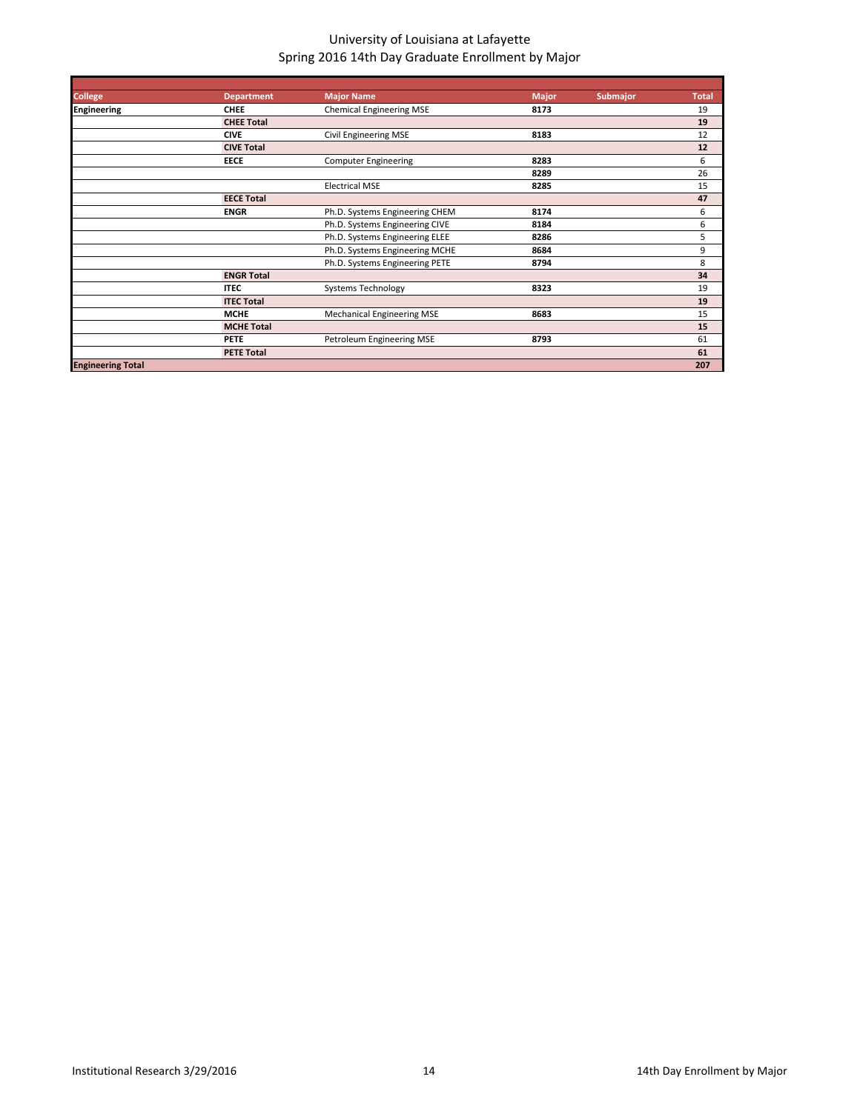| <b>College</b>           | <b>Department</b> | <b>Major Name</b>                 | <b>Major</b> | <b>Submajor</b> | <b>Total</b> |
|--------------------------|-------------------|-----------------------------------|--------------|-----------------|--------------|
| <b>Engineering</b>       | <b>CHEE</b>       | <b>Chemical Engineering MSE</b>   | 8173         |                 | 19           |
|                          | <b>CHEE Total</b> |                                   |              |                 | 19           |
|                          | <b>CIVE</b>       | Civil Engineering MSE             | 8183         |                 | 12           |
|                          | <b>CIVE Total</b> |                                   |              |                 | 12           |
|                          | <b>EECE</b>       | <b>Computer Engineering</b>       | 8283         |                 | 6            |
|                          |                   |                                   | 8289         |                 | 26           |
|                          |                   | <b>Electrical MSE</b>             | 8285         |                 | 15           |
|                          | <b>EECE Total</b> |                                   |              |                 | 47           |
|                          | <b>ENGR</b>       | Ph.D. Systems Engineering CHEM    | 8174         |                 | 6            |
|                          |                   | Ph.D. Systems Engineering CIVE    | 8184         |                 | 6            |
|                          |                   | Ph.D. Systems Engineering ELEE    | 8286         |                 | 5            |
|                          |                   | Ph.D. Systems Engineering MCHE    | 8684         |                 | 9            |
|                          |                   | Ph.D. Systems Engineering PETE    | 8794         |                 | 8            |
|                          | <b>ENGR Total</b> |                                   |              |                 | 34           |
|                          | <b>ITEC</b>       | <b>Systems Technology</b>         | 8323         |                 | 19           |
|                          | <b>ITEC Total</b> |                                   |              |                 | 19           |
|                          | <b>MCHE</b>       | <b>Mechanical Engineering MSE</b> | 8683         |                 | 15           |
|                          | <b>MCHE Total</b> |                                   |              |                 | 15           |
|                          | <b>PETE</b>       | Petroleum Engineering MSE         | 8793         |                 | 61           |
|                          | <b>PETE Total</b> |                                   |              |                 | 61           |
| <b>Engineering Total</b> |                   |                                   |              |                 | 207          |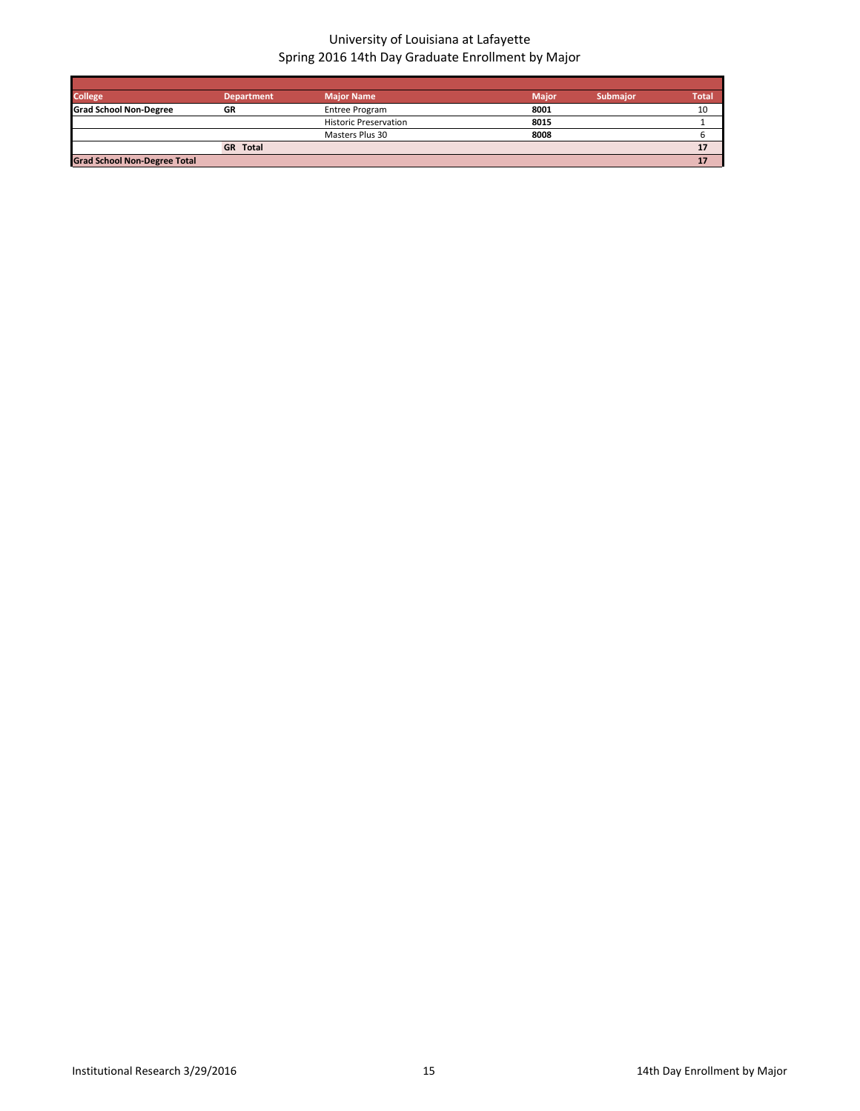| <b>College</b>                      | <b>Department</b> | <b>Major Name</b>            | <b>Major</b> | <b>Submaior</b> | <b>Total</b> |
|-------------------------------------|-------------------|------------------------------|--------------|-----------------|--------------|
| <b>Grad School Non-Degree</b>       | GR                | Entree Program               | 8001         |                 | 10           |
|                                     |                   | <b>Historic Preservation</b> | 8015         |                 |              |
|                                     |                   | Masters Plus 30              | 8008         |                 |              |
|                                     | <b>GR</b> Total   |                              |              |                 |              |
| <b>Grad School Non-Degree Total</b> |                   |                              |              |                 |              |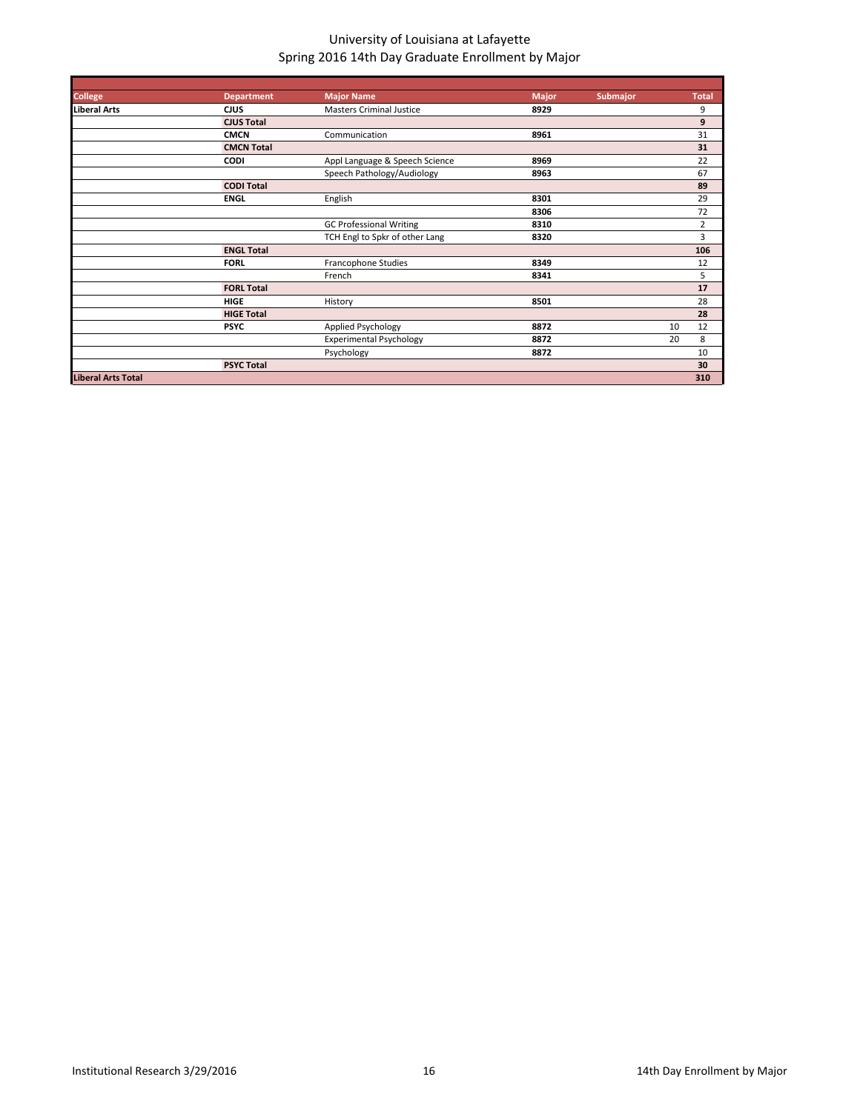| <b>College</b>            | <b>Department</b> | <b>Major Name</b>               | <b>Major</b> | Submajor |    | <b>Total</b>   |
|---------------------------|-------------------|---------------------------------|--------------|----------|----|----------------|
| <b>Liberal Arts</b>       | <b>CIUS</b>       | <b>Masters Criminal Justice</b> | 8929         |          |    | 9              |
|                           | <b>CJUS Total</b> |                                 |              |          |    | 9              |
|                           | <b>CMCN</b>       | Communication                   | 8961         |          |    | 31             |
|                           | <b>CMCN Total</b> |                                 |              |          |    | 31             |
|                           | <b>CODI</b>       | Appl Language & Speech Science  | 8969         |          |    | 22             |
|                           |                   | Speech Pathology/Audiology      | 8963         |          |    | 67             |
|                           | <b>CODI Total</b> |                                 |              |          |    | 89             |
|                           | <b>ENGL</b>       | English                         | 8301         |          |    | 29             |
|                           |                   |                                 | 8306         |          |    | 72             |
|                           |                   | <b>GC Professional Writing</b>  | 8310         |          |    | $\overline{2}$ |
|                           |                   | TCH Engl to Spkr of other Lang  | 8320         |          |    | 3              |
|                           | <b>ENGL Total</b> |                                 |              |          |    | 106            |
|                           | <b>FORL</b>       | Francophone Studies             | 8349         |          |    | 12             |
|                           |                   | French                          | 8341         |          |    | 5              |
|                           | <b>FORL Total</b> |                                 |              |          |    | 17             |
|                           | <b>HIGE</b>       | History                         | 8501         |          |    | 28             |
|                           | <b>HIGE Total</b> |                                 |              |          |    | 28             |
|                           | <b>PSYC</b>       | Applied Psychology              | 8872         |          | 10 | 12             |
|                           |                   | <b>Experimental Psychology</b>  | 8872         |          | 20 | 8              |
|                           |                   | Psychology                      | 8872         |          |    | 10             |
|                           | <b>PSYC Total</b> |                                 |              |          |    | 30             |
| <b>Liberal Arts Total</b> |                   |                                 |              |          |    | 310            |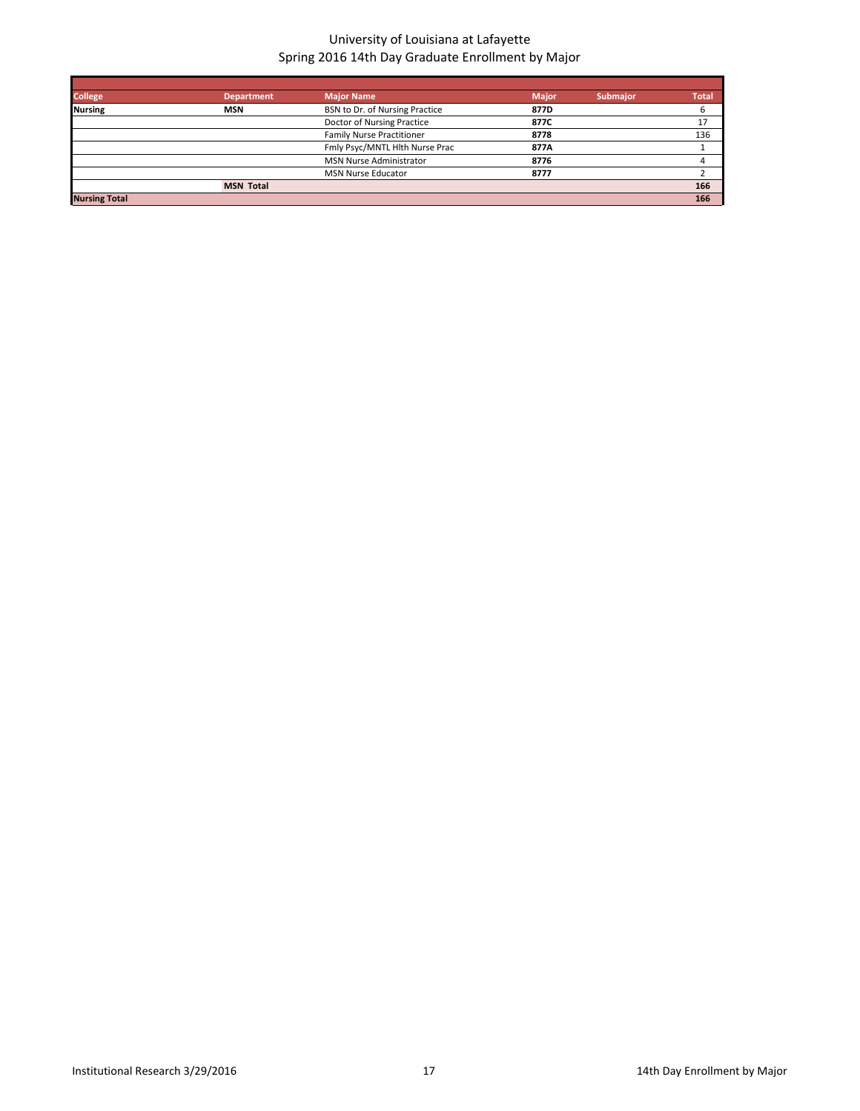| <b>College</b>       | <b>Department</b> | <b>Major Name</b>                | <b>Major</b> | <b>Submajor</b> | <b>Total</b> |
|----------------------|-------------------|----------------------------------|--------------|-----------------|--------------|
| <b>Nursing</b>       | <b>MSN</b>        | BSN to Dr. of Nursing Practice   | 877D         |                 | ь            |
|                      |                   | Doctor of Nursing Practice       | 877C         |                 | 17           |
|                      |                   | <b>Family Nurse Practitioner</b> | 8778         |                 | 136          |
|                      |                   | Fmly Psyc/MNTL Hlth Nurse Prac   | 877A         |                 |              |
|                      |                   | <b>MSN Nurse Administrator</b>   | 8776         |                 |              |
|                      |                   | <b>MSN Nurse Educator</b>        | 8777         |                 |              |
|                      | <b>MSN Total</b>  |                                  |              |                 | 166          |
| <b>Nursing Total</b> |                   |                                  |              |                 | 166          |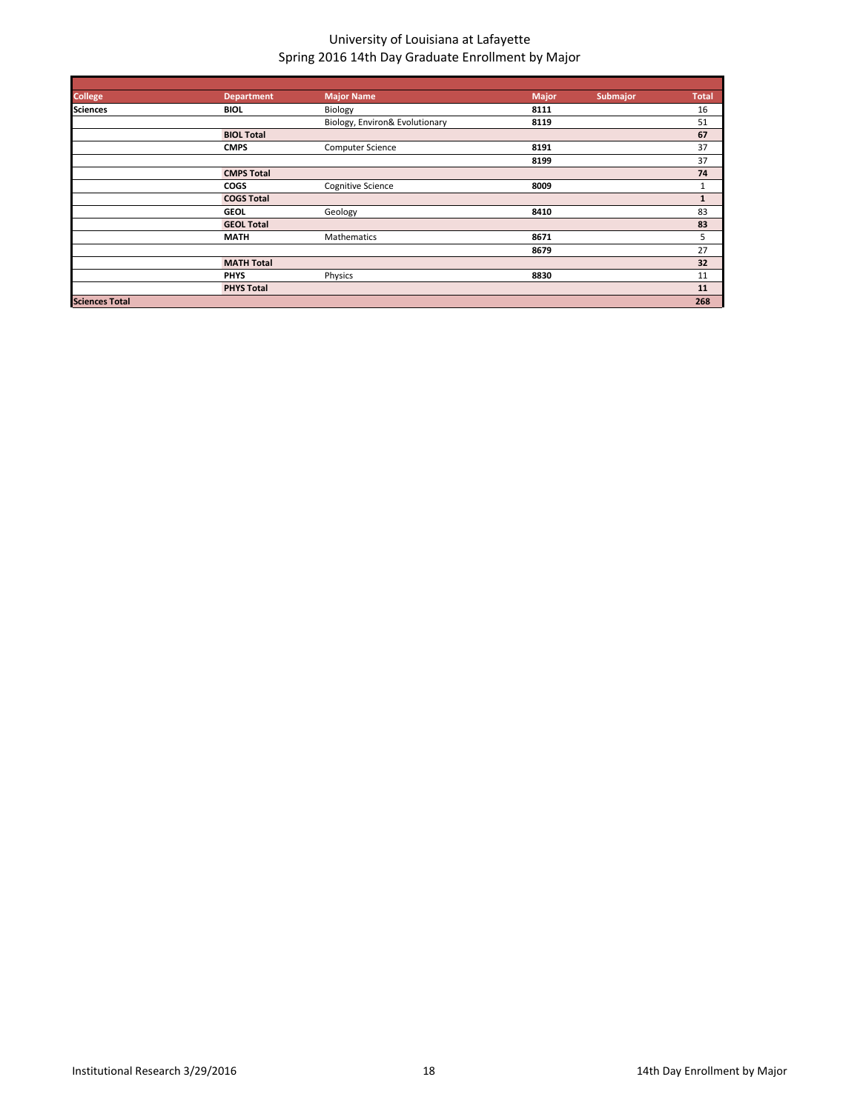| <b>College</b>        | <b>Department</b> | <b>Major Name</b>              | Major | Submajor | <b>Total</b> |
|-----------------------|-------------------|--------------------------------|-------|----------|--------------|
| <b>Sciences</b>       | <b>BIOL</b>       | Biology                        | 8111  |          | 16           |
|                       |                   | Biology, Environ& Evolutionary | 8119  |          | 51           |
|                       | <b>BIOL Total</b> |                                |       |          | 67           |
|                       | <b>CMPS</b>       | <b>Computer Science</b>        | 8191  |          | 37           |
|                       |                   |                                | 8199  |          | 37           |
|                       | <b>CMPS Total</b> |                                |       |          | 74           |
|                       | <b>COGS</b>       | <b>Cognitive Science</b>       | 8009  |          | 1            |
|                       | <b>COGS Total</b> |                                |       |          | $\mathbf{1}$ |
|                       | <b>GEOL</b>       | Geology                        | 8410  |          | 83           |
|                       | <b>GEOL Total</b> |                                |       |          | 83           |
|                       | <b>MATH</b>       | Mathematics                    | 8671  |          | 5            |
|                       |                   |                                | 8679  |          | 27           |
|                       | <b>MATH Total</b> |                                |       |          | 32           |
|                       | <b>PHYS</b>       | Physics                        | 8830  |          | 11           |
|                       | <b>PHYS Total</b> |                                |       |          | 11           |
| <b>Sciences Total</b> |                   |                                |       |          | 268          |